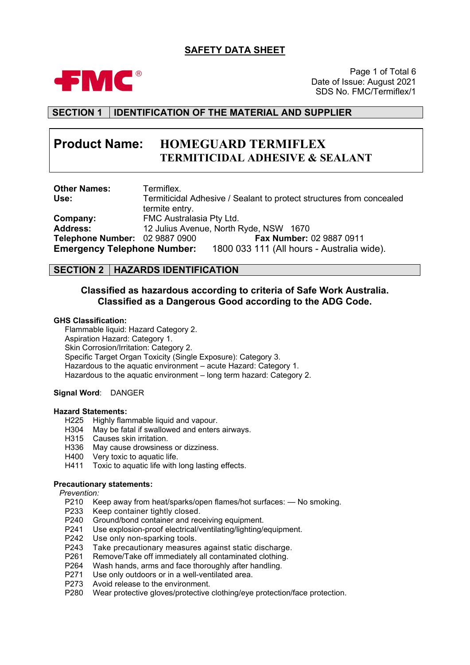## **SAFETY DATA SHEET**



Page 1 of Total 6 Date of Issue: August 2021 SDS No. FMC/Termiflex/1

## **SECTION 1 IDENTIFICATION OF THE MATERIAL AND SUPPLIER**

# **Product Name: HOMEGUARD TERMIFLEX TERMITICIDAL ADHESIVE & SEALANT**

| <b>Other Names:</b>                | Termiflex.                                                           |  |  |  |  |  |
|------------------------------------|----------------------------------------------------------------------|--|--|--|--|--|
| Use:                               | Termiticidal Adhesive / Sealant to protect structures from concealed |  |  |  |  |  |
|                                    | termite entry.                                                       |  |  |  |  |  |
| Company:                           | FMC Australasia Pty Ltd.                                             |  |  |  |  |  |
| <b>Address:</b>                    | 12 Julius Avenue, North Ryde, NSW 1670                               |  |  |  |  |  |
| Telephone Number: 02 9887 0900     | Fax Number: 02 9887 0911                                             |  |  |  |  |  |
| <b>Emergency Telephone Number:</b> | 1800 033 111 (All hours - Australia wide).                           |  |  |  |  |  |

## **SECTION 2 HAZARDS IDENTIFICATION**

## **Classified as hazardous according to criteria of Safe Work Australia. Classified as a Dangerous Good according to the ADG Code.**

#### **GHS Classification:**

Flammable liquid: Hazard Category 2. Aspiration Hazard: Category 1. Skin Corrosion/Irritation: Category 2. Specific Target Organ Toxicity (Single Exposure): Category 3. Hazardous to the aquatic environment – acute Hazard: Category 1. Hazardous to the aquatic environment – long term hazard: Category 2.

#### **Signal Word**: DANGER

#### **Hazard Statements:**

- 
- H225 Highly flammable liquid and vapour.<br>H304 May be fatal if swallowed and enters H304 May be fatal if swallowed and enters airways.<br>H315 Causes skin irritation.
- Causes skin irritation.
- H336 May cause drowsiness or dizziness.<br>H400 Very toxic to aquatic life.
- H400 Very toxic to aquatic life.<br>H411 Toxic to aquatic life with I
- Toxic to aquatic life with long lasting effects.

#### **Precautionary statements:**

*Prevention:*

- P210 Keep away from heat/sparks/open flames/hot surfaces: No smoking.<br>P233 Keep container tightly closed.
- Keep container tightly closed.
- P240 Ground/bond container and receiving equipment.
- P241 Use explosion-proof electrical/ventilating/lighting/equipment.
- P242 Use only non-sparking tools.
- P243 Take precautionary measures against static discharge.
- P261 Remove/Take off immediately all contaminated clothing.<br>P264 Wash hands, arms and face thoroughly after handling.
- P264 Wash hands, arms and face thoroughly after handling.<br>P271 Use only outdoors or in a well-ventilated area.
- Use only outdoors or in a well-ventilated area.
- P273 Avoid release to the environment.
- P280 Wear protective gloves/protective clothing/eye protection/face protection.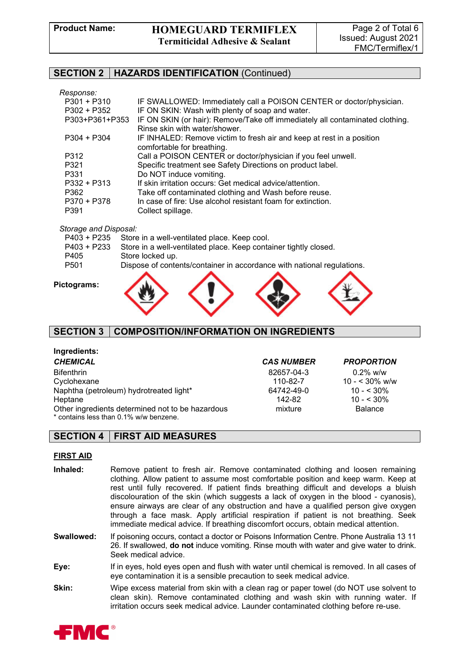### **SECTION 2 HAZARDS IDENTIFICATION** (Continued)

#### *Response:*

| IF SWALLOWED: Immediately call a POISON CENTER or doctor/physician.<br>IF ON SKIN: Wash with plenty of soap and water. |
|------------------------------------------------------------------------------------------------------------------------|
| IF ON SKIN (or hair): Remove/Take off immediately all contaminated clothing.                                           |
| Rinse skin with water/shower.                                                                                          |
| IF INHALED: Remove victim to fresh air and keep at rest in a position                                                  |
| comfortable for breathing.                                                                                             |
| Call a POISON CENTER or doctor/physician if you feel unwell.                                                           |
| Specific treatment see Safety Directions on product label.                                                             |
| Do NOT induce vomiting.                                                                                                |
| If skin irritation occurs: Get medical advice/attention.                                                               |
| Take off contaminated clothing and Wash before reuse.                                                                  |
| In case of fire: Use alcohol resistant foam for extinction.                                                            |
| Collect spillage.                                                                                                      |
|                                                                                                                        |

#### *Storage and Disposal:*

|                  | P403 + P235 Store in a well-ventilated place. Keep cool.                     |
|------------------|------------------------------------------------------------------------------|
|                  | P403 + P233 Store in a well-ventilated place. Keep container tightly closed. |
| P405             | Store locked up.                                                             |
| P <sub>501</sub> | Dispose of contents/container in accordance with national regulations.       |
|                  |                                                                              |

#### **Pictograms:**



#### **SECTION 3 COMPOSITION/INFORMATION ON INGREDIENTS**

## **Ingredients:**

#### *CHEMICAL CAS NUMBER PROPORTION* Bifenthrin 82657-04-3 0.2% w/w Cyclohexane 110-82-7 10- $\sim$  110-82-7 10 -  $\sim$  30% w/w<br>Naphtha (petroleum) hydrotreated light\* 64742-49-0 10 - < 30% Naphtha (petroleum) hydrotreated light\* Heptane 142-82 10 - < 30% Other ingredients determined not to be hazardous mixture mixture Balance \* contains less than 0.1% w/w benzene.

## **SECTION 4 FIRST AID MEASURES**

#### **FIRST AID**

- **Inhaled:** Remove patient to fresh air. Remove contaminated clothing and loosen remaining clothing. Allow patient to assume most comfortable position and keep warm. Keep at rest until fully recovered. If patient finds breathing difficult and develops a bluish discolouration of the skin (which suggests a lack of oxygen in the blood - cyanosis), ensure airways are clear of any obstruction and have a qualified person give oxygen through a face mask. Apply artificial respiration if patient is not breathing. Seek immediate medical advice. If breathing discomfort occurs, obtain medical attention.
- **Swallowed:** If poisoning occurs, contact a doctor or Poisons Information Centre. Phone Australia 13 11 26. If swallowed, **do not** induce vomiting. Rinse mouth with water and give water to drink. Seek medical advice.
- **Eye:** If in eyes, hold eyes open and flush with water until chemical is removed. In all cases of eye contamination it is a sensible precaution to seek medical advice.
- **Skin:** Wipe excess material from skin with a clean rag or paper towel (do NOT use solvent to clean skin). Remove contaminated clothing and wash skin with running water. If irritation occurs seek medical advice. Launder contaminated clothing before re-use.

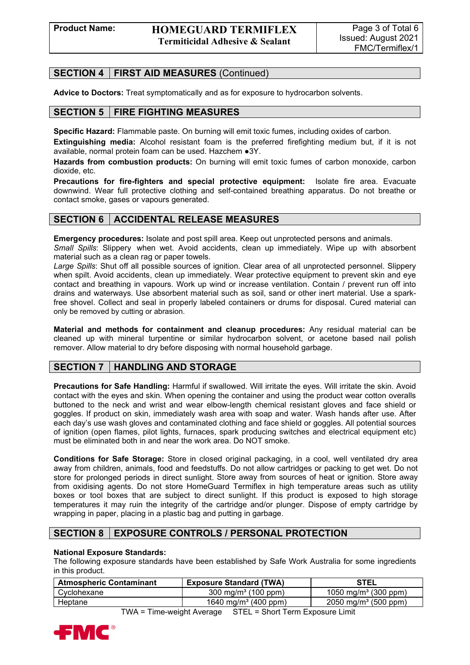## **SECTION 4 FIRST AID MEASURES** (Continued)

**Advice to Doctors:** Treat symptomatically and as for exposure to hydrocarbon solvents.

## **SECTION 5 FIRE FIGHTING MEASURES**

**Specific Hazard:** Flammable paste. On burning will emit toxic fumes, including oxides of carbon.

**Extinguishing media:** Alcohol resistant foam is the preferred firefighting medium but, if it is not available, normal protein foam can be used. Hazchem ●3Y.

**Hazards from combustion products:** On burning will emit toxic fumes of carbon monoxide, carbon dioxide, etc.

**Precautions for fire-fighters and special protective equipment:** Isolate fire area. Evacuate downwind. Wear full protective clothing and self-contained breathing apparatus. Do not breathe or contact smoke, gases or vapours generated.

## **SECTION 6 ACCIDENTAL RELEASE MEASURES**

**Emergency procedures:** Isolate and post spill area. Keep out unprotected persons and animals. *Small Spills*: Slippery when wet. Avoid accidents, clean up immediately. Wipe up with absorbent

material such as a clean rag or paper towels. *Large Spills*: Shut off all possible sources of ignition. Clear area of all unprotected personnel. Slippery when spilt. Avoid accidents, clean up immediately. Wear protective equipment to prevent skin and eye contact and breathing in vapours. Work up wind or increase ventilation. Contain / prevent run off into drains and waterways. Use absorbent material such as soil, sand or other inert material. Use a sparkfree shovel. Collect and seal in properly labeled containers or drums for disposal. Cured material can only be removed by cutting or abrasion.

**Material and methods for containment and cleanup procedures:** Any residual material can be cleaned up with mineral turpentine or similar hydrocarbon solvent, or acetone based nail polish remover. Allow material to dry before disposing with normal household garbage.

## **SECTION 7 HANDLING AND STORAGE**

**Precautions for Safe Handling:** Harmful if swallowed. Will irritate the eyes. Will irritate the skin. Avoid contact with the eyes and skin. When opening the container and using the product wear cotton overalls buttoned to the neck and wrist and wear elbow-length chemical resistant gloves and face shield or goggles. If product on skin, immediately wash area with soap and water. Wash hands after use. After each day's use wash gloves and contaminated clothing and face shield or goggles. All potential sources of ignition (open flames, pilot lights, furnaces, spark producing switches and electrical equipment etc) must be eliminated both in and near the work area. Do NOT smoke.

**Conditions for Safe Storage:** Store in closed original packaging, in a cool, well ventilated dry area away from children, animals, food and feedstuffs. Do not allow cartridges or packing to get wet. Do not store for prolonged periods in direct sunlight. Store away from sources of heat or ignition. Store away from oxidising agents. Do not store HomeGuard Termiflex in high temperature areas such as utility boxes or tool boxes that are subject to direct sunlight. If this product is exposed to high storage temperatures it may ruin the integrity of the cartridge and/or plunger. Dispose of empty cartridge by wrapping in paper, placing in a plastic bag and putting in garbage.

## **SECTION 8 EXPOSURE CONTROLS / PERSONAL PROTECTION**

#### **National Exposure Standards:**

The following exposure standards have been established by Safe Work Australia for some ingredients in this product.

| <b>Atmospheric Contaminant</b> | <b>Exposure Standard (TWA)</b>   | <b>STEL</b>                                    |
|--------------------------------|----------------------------------|------------------------------------------------|
| Cyclohexane                    | 300 mg/m <sup>3</sup> (100 ppm)  | 1050 mg/m <sup>3</sup> (300 ppm)               |
| Heptane                        | 1640 mg/m <sup>3</sup> (400 ppm) | $2050 \; \text{mg/m}^3 \; (500 \; \text{ppm})$ |

TWA = Time-weight Average STEL = Short Term Exposure Limit

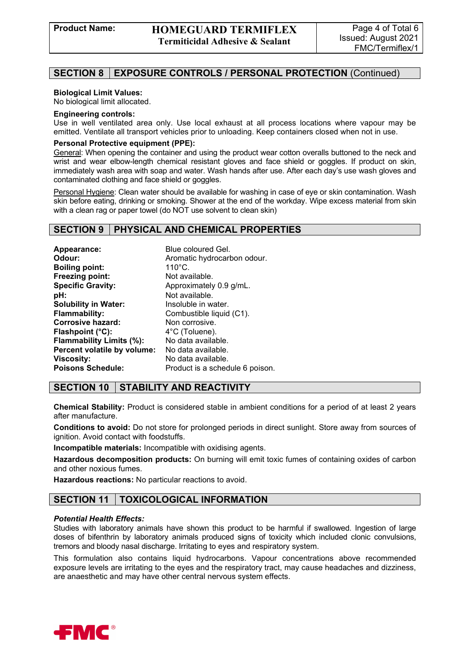## **SECTION 8 EXPOSURE CONTROLS / PERSONAL PROTECTION** (Continued)

#### **Biological Limit Values:**

No biological limit allocated.

#### **Engineering controls:**

Use in well ventilated area only. Use local exhaust at all process locations where vapour may be emitted. Ventilate all transport vehicles prior to unloading. Keep containers closed when not in use.

#### **Personal Protective equipment (PPE):**

General: When opening the container and using the product wear cotton overalls buttoned to the neck and wrist and wear elbow-length chemical resistant gloves and face shield or goggles. If product on skin, immediately wash area with soap and water. Wash hands after use. After each day's use wash gloves and contaminated clothing and face shield or goggles.

Personal Hygiene: Clean water should be available for washing in case of eye or skin contamination. Wash skin before eating, drinking or smoking. Shower at the end of the workday. Wipe excess material from skin with a clean rag or paper towel (do NOT use solvent to clean skin)

#### **SECTION 9 PHYSICAL AND CHEMICAL PROPERTIES**

| Appearance:                 | Blue coloured Gel.              |
|-----------------------------|---------------------------------|
| Odour:                      | Aromatic hydrocarbon odour.     |
| <b>Boiling point:</b>       | $110^{\circ}$ C.                |
| Freezing point:             | Not available.                  |
| <b>Specific Gravity:</b>    | Approximately 0.9 g/mL.         |
| pH:                         | Not available.                  |
| <b>Solubility in Water:</b> | Insoluble in water.             |
| <b>Flammability:</b>        | Combustible liquid (C1).        |
| Corrosive hazard:           | Non corrosive.                  |
| Flashpoint (°C):            | 4°C (Toluene).                  |
| Flammability Limits (%):    | No data available.              |
| Percent volatile by volume: | No data available.              |
| Viscosity:                  | No data available.              |
| <b>Poisons Schedule:</b>    | Product is a schedule 6 poison. |

## **SECTION 10 STABILITY AND REACTIVITY**

**Chemical Stability:** Product is considered stable in ambient conditions for a period of at least 2 years after manufacture.

**Conditions to avoid:** Do not store for prolonged periods in direct sunlight. Store away from sources of ignition. Avoid contact with foodstuffs.

**Incompatible materials:** Incompatible with oxidising agents.

**Hazardous decomposition products:** On burning will emit toxic fumes of containing oxides of carbon and other noxious fumes.

**Hazardous reactions:** No particular reactions to avoid.

## **SECTION 11 TOXICOLOGICAL INFORMATION**

#### *Potential Health Effects:*

Studies with laboratory animals have shown this product to be harmful if swallowed. Ingestion of large doses of bifenthrin by laboratory animals produced signs of toxicity which included clonic convulsions, tremors and bloody nasal discharge. Irritating to eyes and respiratory system.

This formulation also contains liquid hydrocarbons. Vapour concentrations above recommended exposure levels are irritating to the eyes and the respiratory tract, may cause headaches and dizziness, are anaesthetic and may have other central nervous system effects.

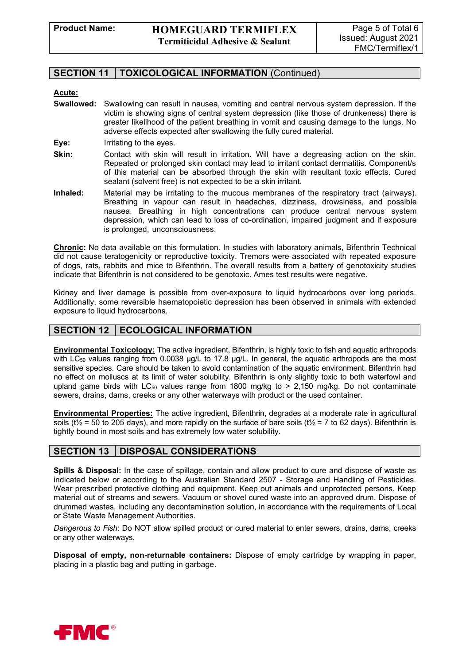## **SECTION 11 TOXICOLOGICAL INFORMATION** (Continued)

#### **Acute:**

- **Swallowed:** Swallowing can result in nausea, vomiting and central nervous system depression. If the victim is showing signs of central system depression (like those of drunkeness) there is greater likelihood of the patient breathing in vomit and causing damage to the lungs. No adverse effects expected after swallowing the fully cured material.
- **Eye:** Irritating to the eyes.
- **Skin:** Contact with skin will result in irritation. Will have a degreasing action on the skin. Repeated or prolonged skin contact may lead to irritant contact dermatitis. Component/s of this material can be absorbed through the skin with resultant toxic effects. Cured sealant (solvent free) is not expected to be a skin irritant.
- **Inhaled:** Material may be irritating to the mucous membranes of the respiratory tract (airways). Breathing in vapour can result in headaches, dizziness, drowsiness, and possible nausea. Breathing in high concentrations can produce central nervous system depression, which can lead to loss of co-ordination, impaired judgment and if exposure is prolonged, unconsciousness.

**Chronic:** No data available on this formulation. In studies with laboratory animals, Bifenthrin Technical did not cause teratogenicity or reproductive toxicity. Tremors were associated with repeated exposure of dogs, rats, rabbits and mice to Bifenthrin. The overall results from a battery of genotoxicity studies indicate that Bifenthrin is not considered to be genotoxic. Ames test results were negative.

Kidney and liver damage is possible from over-exposure to liquid hydrocarbons over long periods. Additionally, some reversible haematopoietic depression has been observed in animals with extended exposure to liquid hydrocarbons.

## **SECTION 12 | ECOLOGICAL INFORMATION**

**Environmental Toxicology:** The active ingredient, Bifenthrin, is highly toxic to fish and aquatic arthropods with LC<sub>50</sub> values ranging from 0.0038  $\mu$ g/L to 17.8  $\mu$ g/L. In general, the aquatic arthropods are the most sensitive species. Care should be taken to avoid contamination of the aquatic environment. Bifenthrin had no effect on molluscs at its limit of water solubility. Bifenthrin is only slightly toxic to both waterfowl and upland game birds with  $LC_{50}$  values range from 1800 mg/kg to > 2,150 mg/kg. Do not contaminate sewers, drains, dams, creeks or any other waterways with product or the used container.

**Environmental Properties:** The active ingredient, Bifenthrin, degrades at a moderate rate in agricultural soils (t<sup> $\frac{1}{2}$ </sup> = 50 to 205 days), and more rapidly on the surface of bare soils (t<sup> $\frac{1}{2}$ </sup> = 7 to 62 days). Bifenthrin is tightly bound in most soils and has extremely low water solubility.

## **SECTION 13 DISPOSAL CONSIDERATIONS**

**Spills & Disposal:** In the case of spillage, contain and allow product to cure and dispose of waste as indicated below or according to the Australian Standard 2507 - Storage and Handling of Pesticides. Wear prescribed protective clothing and equipment. Keep out animals and unprotected persons. Keep material out of streams and sewers. Vacuum or shovel cured waste into an approved drum. Dispose of drummed wastes, including any decontamination solution, in accordance with the requirements of Local or State Waste Management Authorities.

*Dangerous to Fish*: Do NOT allow spilled product or cured material to enter sewers, drains, dams, creeks or any other waterways.

**Disposal of empty, non-returnable containers:** Dispose of empty cartridge by wrapping in paper, placing in a plastic bag and putting in garbage.